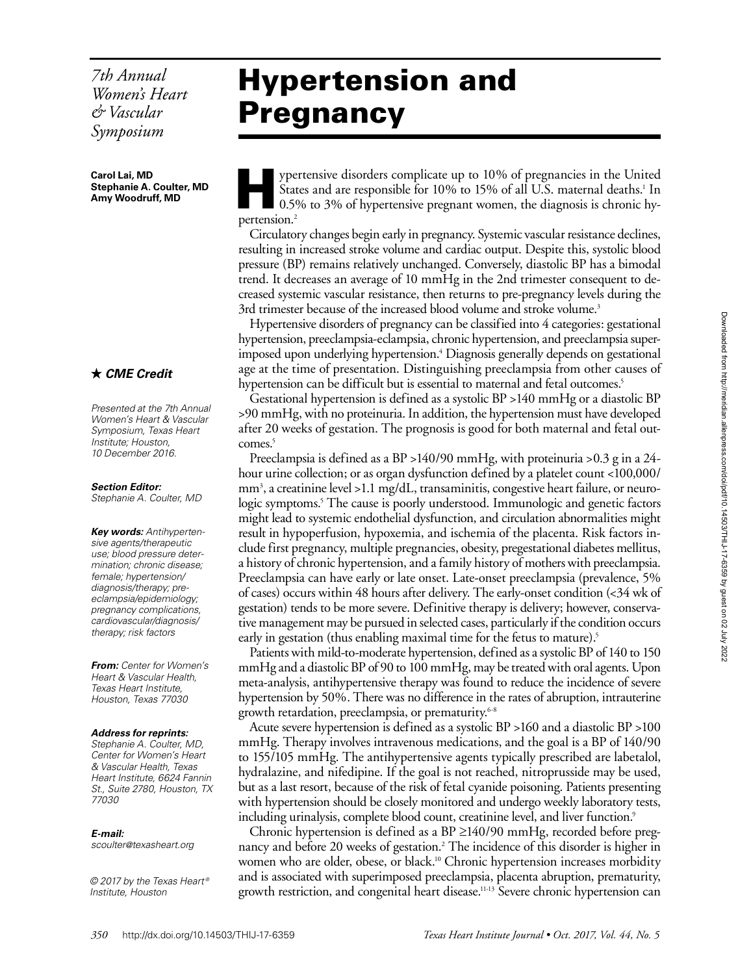*7th Annual Women's Heart & Vascular Symposium*

**Carol Lai, MD Stephanie A. Coulter, MD Amy Woodruff, MD**

## *CME Credit*

*Presented at the 7th Annual Women's Heart & Vascular Symposium, Texas Heart Institute; Houston, 10 December 2016.*

*Section Editor: Stephanie A. Coulter, MD*

*Key words: Antihypertensive agents/therapeutic use; blood pressure determination; chronic disease; female; hypertension/ diagnosis/therapy; preeclampsia/epidemiology; pregnancy complications, cardiovascular/diagnosis/ therapy; risk factors*

*From: Center for Women's Heart & Vascular Health, Texas Heart Institute, Houston, Texas 77030*

### *Address for reprints:*

*Stephanie A. Coulter, MD, Center for Women's Heart & Vascular Health, Texas Heart Institute, 6624 Fannin St., Suite 2780, Houston, TX 77030*

### *E-mail:*

*scoulter@texasheart.org*

*© 2017 by the Texas Heart ® Institute, Houston*

# Hypertension and Pregnancy

Supertensive disorders complicate up to 10% of pregnancies in the United States and are responsible for 10% to 15% of all U.S. maternal deaths.<sup>1</sup> In 0.5% to 3% of hypertensive pregnant women, the diagnosis is chronic hype States and are responsible for 10% to 15% of all U.S. maternal deaths.<sup>1</sup> In pertension.<sup>2</sup>

Circulatory changes begin early in pregnancy. Systemic vascular resistance declines, resulting in increased stroke volume and cardiac output. Despite this, systolic blood pressure (BP) remains relatively unchanged. Conversely, diastolic BP has a bimodal trend. It decreases an average of 10 mmHg in the 2nd trimester consequent to decreased systemic vascular resistance, then returns to pre-pregnancy levels during the 3rd trimester because of the increased blood volume and stroke volume.<sup>3</sup>

Hypertensive disorders of pregnancy can be classified into 4 categories: gestational hypertension, preeclampsia-eclampsia, chronic hypertension, and preeclampsia superimposed upon underlying hypertension.4 Diagnosis generally depends on gestational age at the time of presentation. Distinguishing preeclampsia from other causes of hypertension can be difficult but is essential to maternal and fetal outcomes.<sup>5</sup>

Gestational hypertension is defined as a systolic BP >140 mmHg or a diastolic BP >90 mmHg, with no proteinuria. In addition, the hypertension must have developed after 20 weeks of gestation. The prognosis is good for both maternal and fetal outcomes.<sup>5</sup>

Preeclampsia is defined as a BP >140/90 mmHg, with proteinuria >0.3 g in a 24 hour urine collection; or as organ dysfunction defined by a platelet count <100,000/ mm3 , a creatinine level >1.1 mg/dL, transaminitis, congestive heart failure, or neurologic symptoms.5 The cause is poorly understood. Immunologic and genetic factors might lead to systemic endothelial dysfunction, and circulation abnormalities might result in hypoperfusion, hypoxemia, and ischemia of the placenta. Risk factors include first pregnancy, multiple pregnancies, obesity, pregestational diabetes mellitus, a history of chronic hypertension, and a family history of mothers with preeclampsia. Preeclampsia can have early or late onset. Late-onset preeclampsia (prevalence, 5% of cases) occurs within 48 hours after delivery. The early-onset condition (<34 wk of gestation) tends to be more severe. Definitive therapy is delivery; however, conservative management may be pursued in selected cases, particularly if the condition occurs early in gestation (thus enabling maximal time for the fetus to mature).<sup>5</sup>

Patients with mild-to-moderate hypertension, defined as a systolic BP of 140 to 150 mmHg and a diastolic BP of 90 to 100 mmHg, may be treated with oral agents. Upon meta-analysis, antihypertensive therapy was found to reduce the incidence of severe hypertension by 50%. There was no difference in the rates of abruption, intrauterine growth retardation, preeclampsia, or prematurity.<sup>6-8</sup>

Acute severe hypertension is defined as a systolic BP >160 and a diastolic BP >100 mmHg. Therapy involves intravenous medications, and the goal is a BP of 140/90 to 155/105 mmHg. The antihypertensive agents typically prescribed are labetalol, hydralazine, and nifedipine. If the goal is not reached, nitroprusside may be used, but as a last resort, because of the risk of fetal cyanide poisoning. Patients presenting with hypertension should be closely monitored and undergo weekly laboratory tests, including urinalysis, complete blood count, creatinine level, and liver function.<sup>9</sup>

Chronic hypertension is defined as a BP ≥140/90 mmHg, recorded before pregnancy and before 20 weeks of gestation.<sup>2</sup> The incidence of this disorder is higher in women who are older, obese, or black.<sup>10</sup> Chronic hypertension increases morbidity and is associated with superimposed preeclampsia, placenta abruption, prematurity, growth restriction, and congenital heart disease.11-13 Severe chronic hypertension can